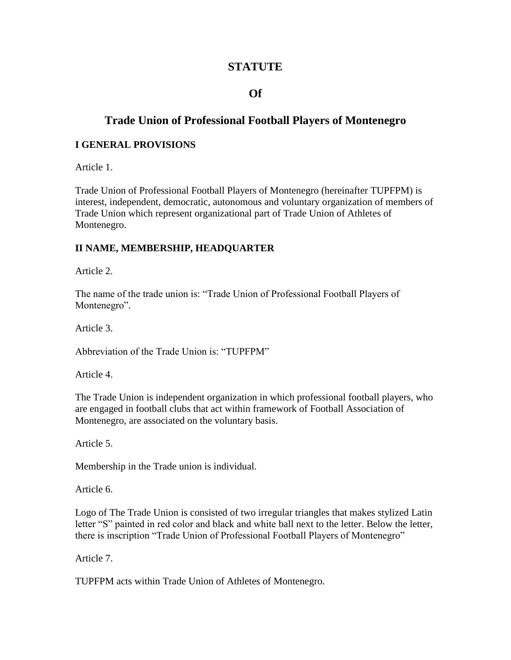# **STATUTE**

# **Of**

# **Trade Union of Professional Football Players of Montenegro**

#### **I GENERAL PROVISIONS**

Article 1.

Trade Union of Professional Football Players of Montenegro (hereinafter TUPFPM) is interest, independent, democratic, autonomous and voluntary organization of members of Trade Union which represent organizational part of Trade Union of Athletes of Montenegro.

#### **II NAME, MEMBERSHIP, HEADQUARTER**

Article 2.

The name of the trade union is: "Trade Union of Professional Football Players of Montenegro".

Article 3.

Abbreviation of the Trade Union is: "TUPFPM"

Article 4.

The Trade Union is independent organization in which professional football players, who are engaged in football clubs that act within framework of Football Association of Montenegro, are associated on the voluntary basis.

Article 5.

Membership in the Trade union is individual.

Article 6.

Logo of The Trade Union is consisted of two irregular triangles that makes stylized Latin letter "S" painted in red color and black and white ball next to the letter. Below the letter, there is inscription "Trade Union of Professional Football Players of Montenegro"

Article 7.

TUPFPM acts within Trade Union of Athletes of Montenegro.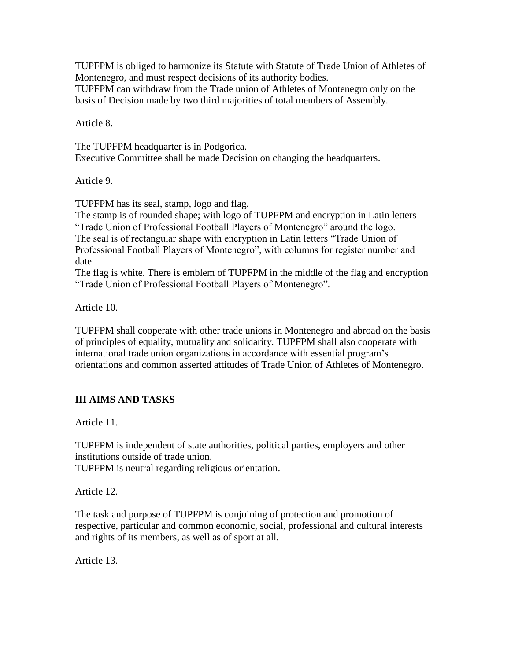TUPFPM is obliged to harmonize its Statute with Statute of Trade Union of Athletes of Montenegro, and must respect decisions of its authority bodies.

TUPFPM can withdraw from the Trade union of Athletes of Montenegro only on the basis of Decision made by two third majorities of total members of Assembly.

Article 8.

The TUPFPM headquarter is in Podgorica. Executive Committee shall be made Decision on changing the headquarters.

Article 9.

TUPFPM has its seal, stamp, logo and flag.

The stamp is of rounded shape; with logo of TUPFPM and encryption in Latin letters "Trade Union of Professional Football Players of Montenegro" around the logo. The seal is of rectangular shape with encryption in Latin letters "Trade Union of Professional Football Players of Montenegro", with columns for register number and date.

The flag is white. There is emblem of TUPFPM in the middle of the flag and encryption "Trade Union of Professional Football Players of Montenegro".

Article 10.

TUPFPM shall cooperate with other trade unions in Montenegro and abroad on the basis of principles of equality, mutuality and solidarity. TUPFPM shall also cooperate with international trade union organizations in accordance with essential program's orientations and common asserted attitudes of Trade Union of Athletes of Montenegro.

# **III AIMS AND TASKS**

Article 11.

TUPFPM is independent of state authorities, political parties, employers and other institutions outside of trade union.

TUPFPM is neutral regarding religious orientation.

Article 12.

The task and purpose of TUPFPM is conjoining of protection and promotion of respective, particular and common economic, social, professional and cultural interests and rights of its members, as well as of sport at all.

Article 13.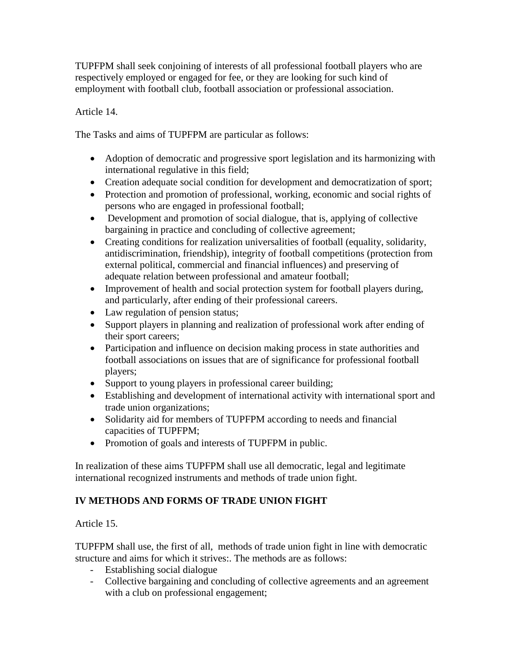TUPFPM shall seek conjoining of interests of all professional football players who are respectively employed or engaged for fee, or they are looking for such kind of employment with football club, football association or professional association.

### Article 14.

The Tasks and aims of TUPFPM are particular as follows:

- Adoption of democratic and progressive sport legislation and its harmonizing with international regulative in this field;
- Creation adequate social condition for development and democratization of sport;
- Protection and promotion of professional, working, economic and social rights of persons who are engaged in professional football;
- Development and promotion of social dialogue, that is, applying of collective bargaining in practice and concluding of collective agreement;
- Creating conditions for realization universalities of football (equality, solidarity, antidiscrimination, friendship), integrity of football competitions (protection from external political, commercial and financial influences) and preserving of adequate relation between professional and amateur football;
- Improvement of health and social protection system for football players during, and particularly, after ending of their professional careers.
- Law regulation of pension status;
- Support players in planning and realization of professional work after ending of their sport careers;
- Participation and influence on decision making process in state authorities and football associations on issues that are of significance for professional football players;
- Support to young players in professional career building;
- Establishing and development of international activity with international sport and trade union organizations;
- Solidarity aid for members of TUPFPM according to needs and financial capacities of TUPFPM;
- Promotion of goals and interests of TUPFPM in public.

In realization of these aims TUPFPM shall use all democratic, legal and legitimate international recognized instruments and methods of trade union fight.

# **IV METHODS AND FORMS OF TRADE UNION FIGHT**

Article 15.

TUPFPM shall use, the first of all, methods of trade union fight in line with democratic structure and aims for which it strives:. The methods are as follows:

- Establishing social dialogue
- Collective bargaining and concluding of collective agreements and an agreement with a club on professional engagement;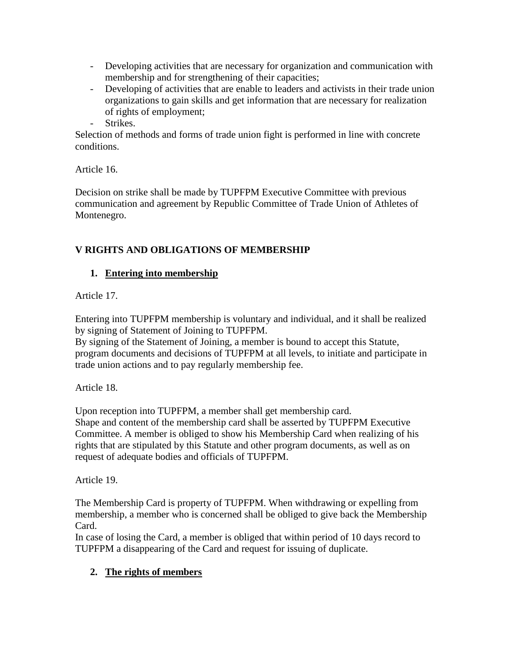- Developing activities that are necessary for organization and communication with membership and for strengthening of their capacities;
- Developing of activities that are enable to leaders and activists in their trade union organizations to gain skills and get information that are necessary for realization of rights of employment;
- Strikes.

Selection of methods and forms of trade union fight is performed in line with concrete conditions.

Article 16.

Decision on strike shall be made by TUPFPM Executive Committee with previous communication and agreement by Republic Committee of Trade Union of Athletes of Montenegro.

# **V RIGHTS AND OBLIGATIONS OF MEMBERSHIP**

# **1. Entering into membership**

Article 17.

Entering into TUPFPM membership is voluntary and individual, and it shall be realized by signing of Statement of Joining to TUPFPM.

By signing of the Statement of Joining, a member is bound to accept this Statute, program documents and decisions of TUPFPM at all levels, to initiate and participate in trade union actions and to pay regularly membership fee.

Article 18.

Upon reception into TUPFPM, a member shall get membership card. Shape and content of the membership card shall be asserted by TUPFPM Executive Committee. A member is obliged to show his Membership Card when realizing of his rights that are stipulated by this Statute and other program documents, as well as on request of adequate bodies and officials of TUPFPM.

Article 19.

The Membership Card is property of TUPFPM. When withdrawing or expelling from membership, a member who is concerned shall be obliged to give back the Membership Card.

In case of losing the Card, a member is obliged that within period of 10 days record to TUPFPM a disappearing of the Card and request for issuing of duplicate.

# **2. The rights of members**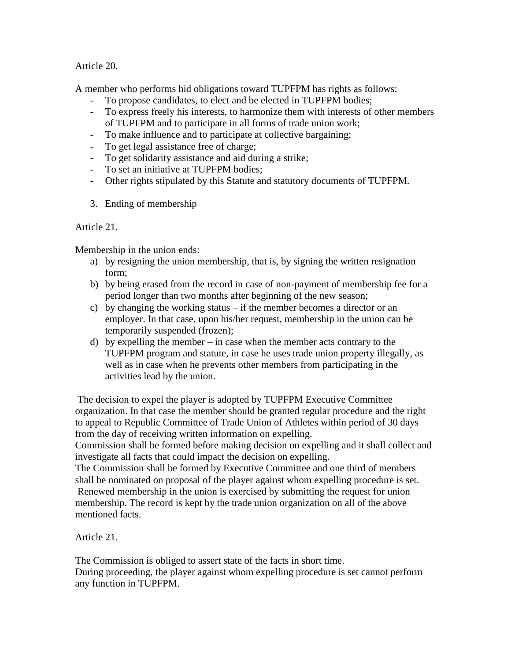Article 20.

A member who performs hid obligations toward TUPFPM has rights as follows:

- To propose candidates, to elect and be elected in TUPFPM bodies;
- To express freely his interests, to harmonize them with interests of other members of TUPFPM and to participate in all forms of trade union work;
	- To make influence and to participate at collective bargaining;
- To get legal assistance free of charge;
- To get solidarity assistance and aid during a strike;
- To set an initiative at TUPFPM bodies;
- Other rights stipulated by this Statute and statutory documents of TUPFPM.
- 3. Ending of membership

Article 21.

Membership in the union ends:

- a) by resigning the union membership, that is, by signing the written resignation form;
- b) by being erased from the record in case of non-payment of membership fee for a period longer than two months after beginning of the new season;
- c) by changing the working status if the member becomes a director or an employer. In that case, upon his/her request, membership in the union can be temporarily suspended (frozen);
- d) by expelling the member in case when the member acts contrary to the TUPFPM program and statute, in case he uses trade union property illegally, as well as in case when he prevents other members from participating in the activities lead by the union.

The decision to expel the player is adopted by TUPFPM Executive Committee organization. In that case the member should be granted regular procedure and the right to appeal to Republic Committee of Trade Union of Athletes within period of 30 days from the day of receiving written information on expelling.

Commission shall be formed before making decision on expelling and it shall collect and investigate all facts that could impact the decision on expelling.

The Commission shall be formed by Executive Committee and one third of members shall be nominated on proposal of the player against whom expelling procedure is set. Renewed membership in the union is exercised by submitting the request for union membership. The record is kept by the trade union organization on all of the above mentioned facts.

Article 21.

The Commission is obliged to assert state of the facts in short time. During proceeding, the player against whom expelling procedure is set cannot perform any function in TUPFPM.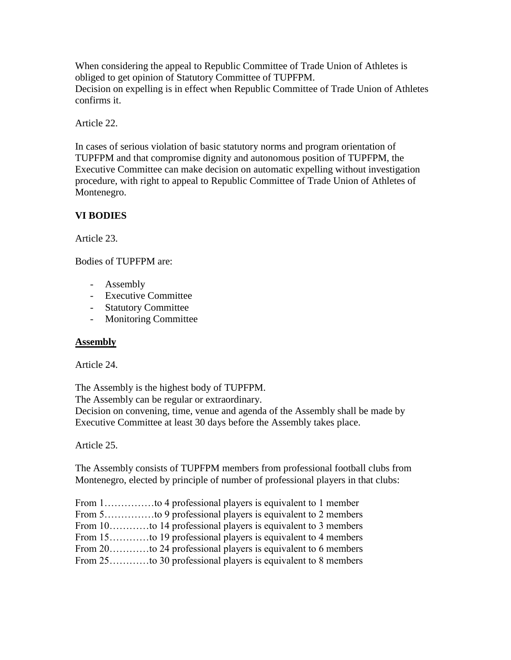When considering the appeal to Republic Committee of Trade Union of Athletes is obliged to get opinion of Statutory Committee of TUPFPM. Decision on expelling is in effect when Republic Committee of Trade Union of Athletes confirms it.

Article 22.

In cases of serious violation of basic statutory norms and program orientation of TUPFPM and that compromise dignity and autonomous position of TUPFPM, the Executive Committee can make decision on automatic expelling without investigation procedure, with right to appeal to Republic Committee of Trade Union of Athletes of Montenegro.

# **VI BODIES**

Article 23.

Bodies of TUPFPM are:

- Assembly
- Executive Committee
- Statutory Committee
- Monitoring Committee

#### **Assembly**

Article 24.

The Assembly is the highest body of TUPFPM. The Assembly can be regular or extraordinary.

Decision on convening, time, venue and agenda of the Assembly shall be made by Executive Committee at least 30 days before the Assembly takes place.

Article 25.

The Assembly consists of TUPFPM members from professional football clubs from Montenegro, elected by principle of number of professional players in that clubs:

| From 1to 4 professional players is equivalent to 1 member    |
|--------------------------------------------------------------|
| From 5to 9 professional players is equivalent to 2 members   |
| From 10to 14 professional players is equivalent to 3 members |
| From 15to 19 professional players is equivalent to 4 members |
| From 20to 24 professional players is equivalent to 6 members |
| From 25to 30 professional players is equivalent to 8 members |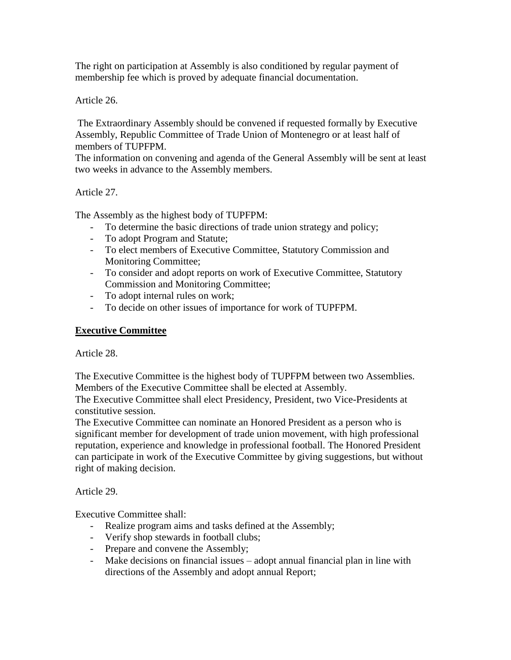The right on participation at Assembly is also conditioned by regular payment of membership fee which is proved by adequate financial documentation.

Article 26.

The Extraordinary Assembly should be convened if requested formally by Executive Assembly, Republic Committee of Trade Union of Montenegro or at least half of members of TUPFPM.

The information on convening and agenda of the General Assembly will be sent at least two weeks in advance to the Assembly members.

Article 27.

The Assembly as the highest body of TUPFPM:

- To determine the basic directions of trade union strategy and policy;
- To adopt Program and Statute;
- To elect members of Executive Committee, Statutory Commission and Monitoring Committee;
- To consider and adopt reports on work of Executive Committee, Statutory Commission and Monitoring Committee;
- To adopt internal rules on work;
- To decide on other issues of importance for work of TUPFPM.

#### **Executive Committee**

Article 28.

The Executive Committee is the highest body of TUPFPM between two Assemblies. Members of the Executive Committee shall be elected at Assembly.

The Executive Committee shall elect Presidency, President, two Vice-Presidents at constitutive session.

The Executive Committee can nominate an Honored President as a person who is significant member for development of trade union movement, with high professional reputation, experience and knowledge in professional football. The Honored President can participate in work of the Executive Committee by giving suggestions, but without right of making decision.

Article 29.

Executive Committee shall:

- Realize program aims and tasks defined at the Assembly;
- Verify shop stewards in football clubs;
- Prepare and convene the Assembly;
- Make decisions on financial issues adopt annual financial plan in line with directions of the Assembly and adopt annual Report;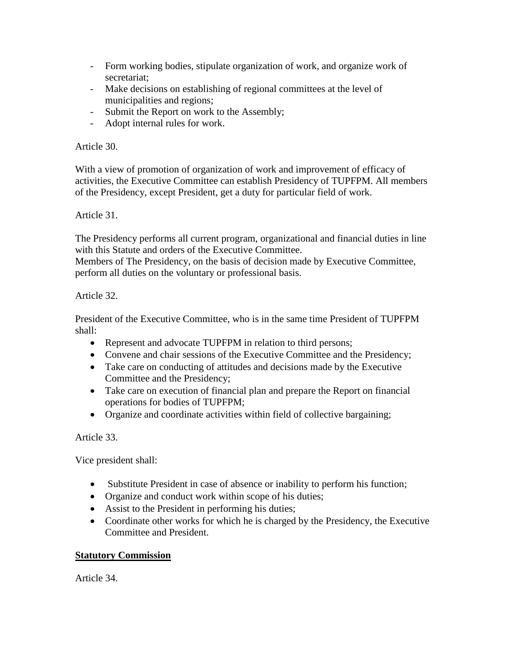- Form working bodies, stipulate organization of work, and organize work of secretariat;
- Make decisions on establishing of regional committees at the level of municipalities and regions;
- Submit the Report on work to the Assembly;
- Adopt internal rules for work.

### Article 30.

With a view of promotion of organization of work and improvement of efficacy of activities, the Executive Committee can establish Presidency of TUPFPM. All members of the Presidency, except President, get a duty for particular field of work.

# Article 31.

The Presidency performs all current program, organizational and financial duties in line with this Statute and orders of the Executive Committee.

Members of The Presidency, on the basis of decision made by Executive Committee, perform all duties on the voluntary or professional basis.

### Article 32.

President of the Executive Committee, who is in the same time President of TUPFPM shall:

- Represent and advocate TUPFPM in relation to third persons;
- Convene and chair sessions of the Executive Committee and the Presidency;
- Take care on conducting of attitudes and decisions made by the Executive Committee and the Presidency;
- Take care on execution of financial plan and prepare the Report on financial operations for bodies of TUPFPM;
- Organize and coordinate activities within field of collective bargaining;

Article 33.

Vice president shall:

- Substitute President in case of absence or inability to perform his function;
- Organize and conduct work within scope of his duties;
- Assist to the President in performing his duties;
- Coordinate other works for which he is charged by the Presidency, the Executive Committee and President.

# **Statutory Commission**

Article 34.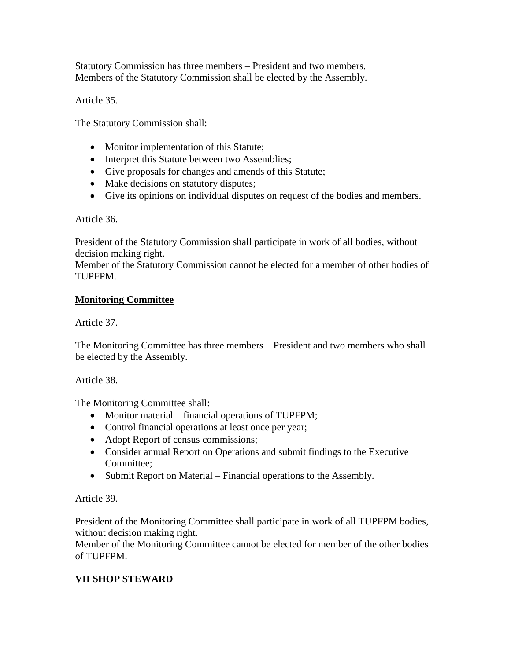Statutory Commission has three members – President and two members. Members of the Statutory Commission shall be elected by the Assembly.

Article 35.

The Statutory Commission shall:

- Monitor implementation of this Statute;
- Interpret this Statute between two Assemblies;
- Give proposals for changes and amends of this Statute;
- Make decisions on statutory disputes;
- Give its opinions on individual disputes on request of the bodies and members.

Article 36.

President of the Statutory Commission shall participate in work of all bodies, without decision making right.

Member of the Statutory Commission cannot be elected for a member of other bodies of TUPFPM.

#### **Monitoring Committee**

Article 37.

The Monitoring Committee has three members – President and two members who shall be elected by the Assembly.

Article 38.

The Monitoring Committee shall:

- Monitor material financial operations of TUPFPM;
- Control financial operations at least once per year;
- Adopt Report of census commissions;
- Consider annual Report on Operations and submit findings to the Executive Committee;
- Submit Report on Material Financial operations to the Assembly.

Article 39.

President of the Monitoring Committee shall participate in work of all TUPFPM bodies, without decision making right.

Member of the Monitoring Committee cannot be elected for member of the other bodies of TUPFPM.

#### **VII SHOP STEWARD**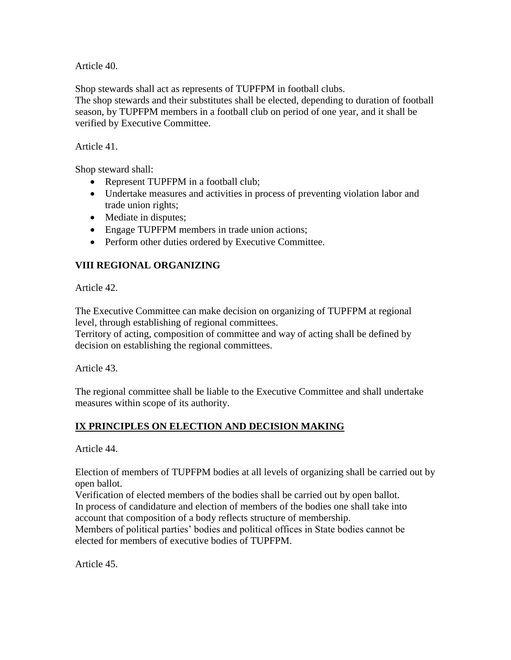Article 40.

Shop stewards shall act as represents of TUPFPM in football clubs.

The shop stewards and their substitutes shall be elected, depending to duration of football season, by TUPFPM members in a football club on period of one year, and it shall be verified by Executive Committee.

Article 41.

Shop steward shall:

- Represent TUPFPM in a football club;
- Undertake measures and activities in process of preventing violation labor and trade union rights;
- Mediate in disputes;
- Engage TUPFPM members in trade union actions;
- Perform other duties ordered by Executive Committee.

# **VIII REGIONAL ORGANIZING**

Article 42.

The Executive Committee can make decision on organizing of TUPFPM at regional level, through establishing of regional committees.

Territory of acting, composition of committee and way of acting shall be defined by decision on establishing the regional committees.

Article 43.

The regional committee shall be liable to the Executive Committee and shall undertake measures within scope of its authority.

# **IX PRINCIPLES ON ELECTION AND DECISION MAKING**

Article 44.

Election of members of TUPFPM bodies at all levels of organizing shall be carried out by open ballot.

Verification of elected members of the bodies shall be carried out by open ballot.

In process of candidature and election of members of the bodies one shall take into account that composition of a body reflects structure of membership.

Members of political parties' bodies and political offices in State bodies cannot be elected for members of executive bodies of TUPFPM.

Article 45.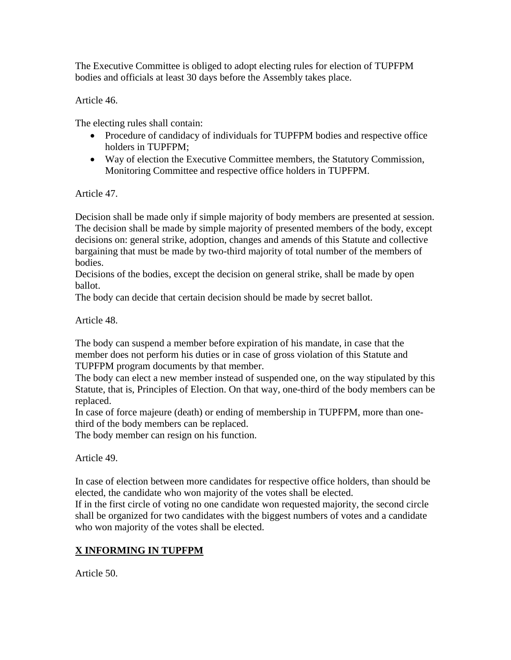The Executive Committee is obliged to adopt electing rules for election of TUPFPM bodies and officials at least 30 days before the Assembly takes place.

Article 46.

The electing rules shall contain:

- Procedure of candidacy of individuals for TUPFPM bodies and respective office holders in TUPFPM;
- Way of election the Executive Committee members, the Statutory Commission, Monitoring Committee and respective office holders in TUPFPM.

Article 47.

Decision shall be made only if simple majority of body members are presented at session. The decision shall be made by simple majority of presented members of the body, except decisions on: general strike, adoption, changes and amends of this Statute and collective bargaining that must be made by two-third majority of total number of the members of bodies.

Decisions of the bodies, except the decision on general strike, shall be made by open ballot.

The body can decide that certain decision should be made by secret ballot.

Article 48.

The body can suspend a member before expiration of his mandate, in case that the member does not perform his duties or in case of gross violation of this Statute and TUPFPM program documents by that member.

The body can elect a new member instead of suspended one, on the way stipulated by this Statute, that is, Principles of Election. On that way, one-third of the body members can be replaced.

In case of force majeure (death) or ending of membership in TUPFPM, more than onethird of the body members can be replaced.

The body member can resign on his function.

Article 49.

In case of election between more candidates for respective office holders, than should be elected, the candidate who won majority of the votes shall be elected.

If in the first circle of voting no one candidate won requested majority, the second circle shall be organized for two candidates with the biggest numbers of votes and a candidate who won majority of the votes shall be elected.

# **X INFORMING IN TUPFPM**

Article 50.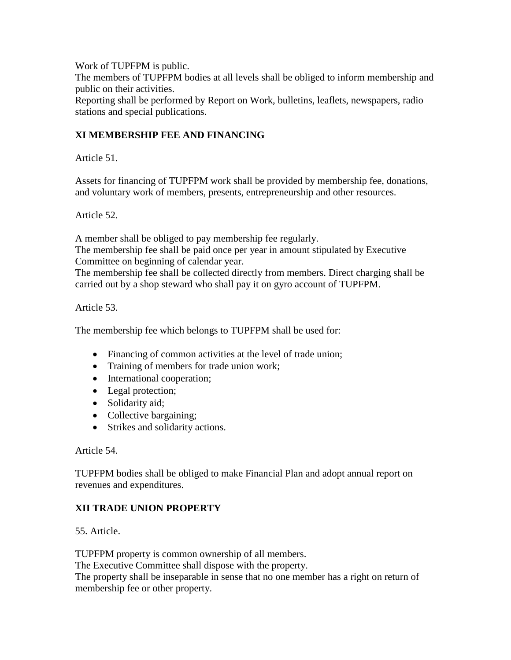Work of TUPFPM is public.

The members of TUPFPM bodies at all levels shall be obliged to inform membership and public on their activities.

Reporting shall be performed by Report on Work, bulletins, leaflets, newspapers, radio stations and special publications.

### **XI MEMBERSHIP FEE AND FINANCING**

Article 51.

Assets for financing of TUPFPM work shall be provided by membership fee, donations, and voluntary work of members, presents, entrepreneurship and other resources.

Article 52.

A member shall be obliged to pay membership fee regularly.

The membership fee shall be paid once per year in amount stipulated by Executive Committee on beginning of calendar year.

The membership fee shall be collected directly from members. Direct charging shall be carried out by a shop steward who shall pay it on gyro account of TUPFPM.

Article 53.

The membership fee which belongs to TUPFPM shall be used for:

- Financing of common activities at the level of trade union;
- Training of members for trade union work;
- International cooperation;
- Legal protection;
- Solidarity aid;
- Collective bargaining;
- Strikes and solidarity actions.

Article 54.

TUPFPM bodies shall be obliged to make Financial Plan and adopt annual report on revenues and expenditures.

#### **XII TRADE UNION PROPERTY**

55. Article.

TUPFPM property is common ownership of all members.

The Executive Committee shall dispose with the property.

The property shall be inseparable in sense that no one member has a right on return of membership fee or other property.